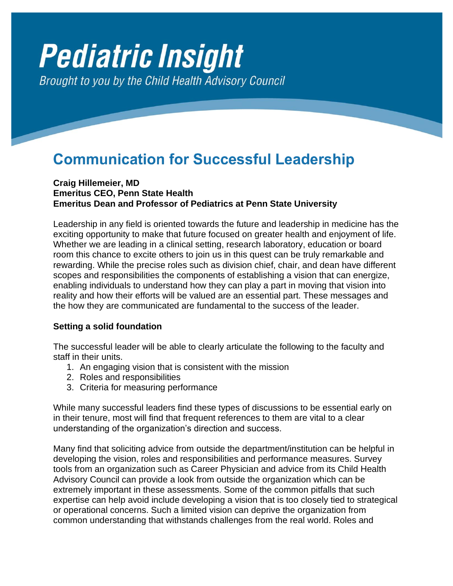# **Pediatric Insight** Brought to you by the Child Health Advisory Council

## **Communication for Successful Leadership**

#### **Craig Hillemeier, MD Emeritus CEO, Penn State Health Emeritus Dean and Professor of Pediatrics at Penn State University**

Leadership in any field is oriented towards the future and leadership in medicine has the exciting opportunity to make that future focused on greater health and enjoyment of life. Whether we are leading in a clinical setting, research laboratory, education or board room this chance to excite others to join us in this quest can be truly remarkable and rewarding. While the precise roles such as division chief, chair, and dean have different scopes and responsibilities the components of establishing a vision that can energize, enabling individuals to understand how they can play a part in moving that vision into reality and how their efforts will be valued are an essential part. These messages and the how they are communicated are fundamental to the success of the leader.

#### **Setting a solid foundation**

The successful leader will be able to clearly articulate the following to the faculty and staff in their units.

- 1. An engaging vision that is consistent with the mission
- 2. Roles and responsibilities
- 3. Criteria for measuring performance

While many successful leaders find these types of discussions to be essential early on in their tenure, most will find that frequent references to them are vital to a clear understanding of the organization's direction and success.

Many find that soliciting advice from outside the department/institution can be helpful in developing the vision, roles and responsibilities and performance measures. Survey tools from an organization such as Career Physician and advice from its Child Health Advisory Council can provide a look from outside the organization which can be extremely important in these assessments. Some of the common pitfalls that such expertise can help avoid include developing a vision that is too closely tied to strategical or operational concerns. Such a limited vision can deprive the organization from common understanding that withstands challenges from the real world. Roles and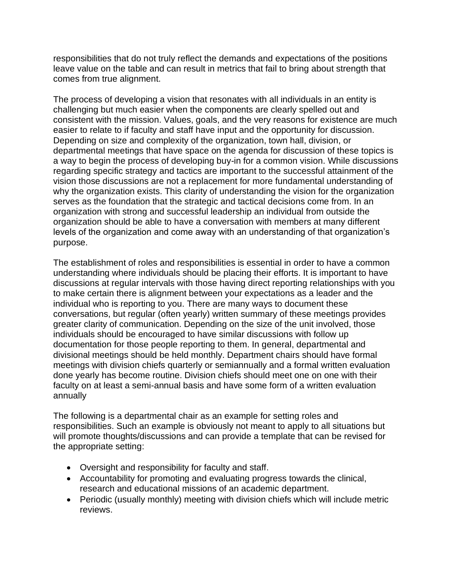responsibilities that do not truly reflect the demands and expectations of the positions leave value on the table and can result in metrics that fail to bring about strength that comes from true alignment.

The process of developing a vision that resonates with all individuals in an entity is challenging but much easier when the components are clearly spelled out and consistent with the mission. Values, goals, and the very reasons for existence are much easier to relate to if faculty and staff have input and the opportunity for discussion. Depending on size and complexity of the organization, town hall, division, or departmental meetings that have space on the agenda for discussion of these topics is a way to begin the process of developing buy-in for a common vision. While discussions regarding specific strategy and tactics are important to the successful attainment of the vision those discussions are not a replacement for more fundamental understanding of why the organization exists. This clarity of understanding the vision for the organization serves as the foundation that the strategic and tactical decisions come from. In an organization with strong and successful leadership an individual from outside the organization should be able to have a conversation with members at many different levels of the organization and come away with an understanding of that organization's purpose.

The establishment of roles and responsibilities is essential in order to have a common understanding where individuals should be placing their efforts. It is important to have discussions at regular intervals with those having direct reporting relationships with you to make certain there is alignment between your expectations as a leader and the individual who is reporting to you. There are many ways to document these conversations, but regular (often yearly) written summary of these meetings provides greater clarity of communication. Depending on the size of the unit involved, those individuals should be encouraged to have similar discussions with follow up documentation for those people reporting to them. In general, departmental and divisional meetings should be held monthly. Department chairs should have formal meetings with division chiefs quarterly or semiannually and a formal written evaluation done yearly has become routine. Division chiefs should meet one on one with their faculty on at least a semi-annual basis and have some form of a written evaluation annually

The following is a departmental chair as an example for setting roles and responsibilities. Such an example is obviously not meant to apply to all situations but will promote thoughts/discussions and can provide a template that can be revised for the appropriate setting:

- Oversight and responsibility for faculty and staff.
- Accountability for promoting and evaluating progress towards the clinical, research and educational missions of an academic department.
- Periodic (usually monthly) meeting with division chiefs which will include metric reviews.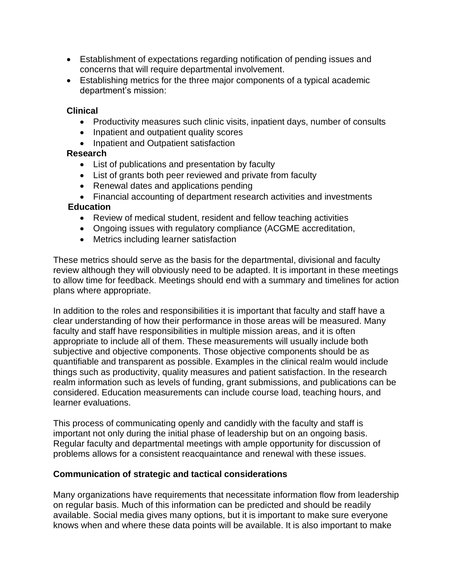- Establishment of expectations regarding notification of pending issues and concerns that will require departmental involvement.
- Establishing metrics for the three major components of a typical academic department's mission:

#### **Clinical**

- Productivity measures such clinic visits, inpatient days, number of consults
- Inpatient and outpatient quality scores
- Inpatient and Outpatient satisfaction

### **Research**

- List of publications and presentation by faculty
- List of grants both peer reviewed and private from faculty
- Renewal dates and applications pending
- Financial accounting of department research activities and investments

#### **Education**

- Review of medical student, resident and fellow teaching activities
- Ongoing issues with regulatory compliance (ACGME accreditation,
- Metrics including learner satisfaction

These metrics should serve as the basis for the departmental, divisional and faculty review although they will obviously need to be adapted. It is important in these meetings to allow time for feedback. Meetings should end with a summary and timelines for action plans where appropriate.

In addition to the roles and responsibilities it is important that faculty and staff have a clear understanding of how their performance in those areas will be measured. Many faculty and staff have responsibilities in multiple mission areas, and it is often appropriate to include all of them. These measurements will usually include both subjective and objective components. Those objective components should be as quantifiable and transparent as possible. Examples in the clinical realm would include things such as productivity, quality measures and patient satisfaction. In the research realm information such as levels of funding, grant submissions, and publications can be considered. Education measurements can include course load, teaching hours, and learner evaluations.

This process of communicating openly and candidly with the faculty and staff is important not only during the initial phase of leadership but on an ongoing basis. Regular faculty and departmental meetings with ample opportunity for discussion of problems allows for a consistent reacquaintance and renewal with these issues.

#### **Communication of strategic and tactical considerations**

Many organizations have requirements that necessitate information flow from leadership on regular basis. Much of this information can be predicted and should be readily available. Social media gives many options, but it is important to make sure everyone knows when and where these data points will be available. It is also important to make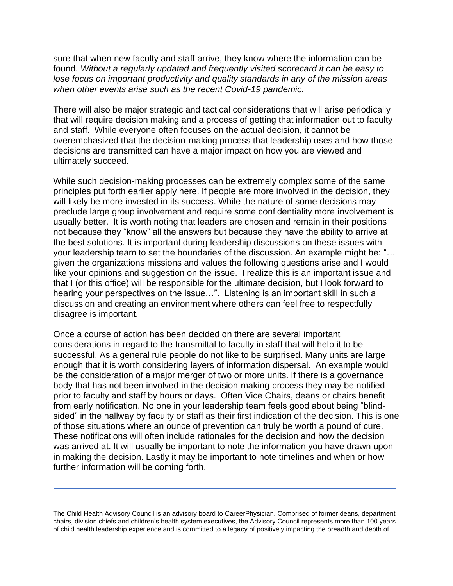sure that when new faculty and staff arrive, they know where the information can be found. *Without a regularly updated and frequently visited scorecard it can be easy to lose focus on important productivity and quality standards in any of the mission areas when other events arise such as the recent Covid-19 pandemic.*

There will also be major strategic and tactical considerations that will arise periodically that will require decision making and a process of getting that information out to faculty and staff. While everyone often focuses on the actual decision, it cannot be overemphasized that the decision-making process that leadership uses and how those decisions are transmitted can have a major impact on how you are viewed and ultimately succeed.

While such decision-making processes can be extremely complex some of the same principles put forth earlier apply here. If people are more involved in the decision, they will likely be more invested in its success. While the nature of some decisions may preclude large group involvement and require some confidentiality more involvement is usually better. It is worth noting that leaders are chosen and remain in their positions not because they "know" all the answers but because they have the ability to arrive at the best solutions. It is important during leadership discussions on these issues with your leadership team to set the boundaries of the discussion. An example might be: "… given the organizations missions and values the following questions arise and I would like your opinions and suggestion on the issue. I realize this is an important issue and that I (or this office) will be responsible for the ultimate decision, but I look forward to hearing your perspectives on the issue…". Listening is an important skill in such a discussion and creating an environment where others can feel free to respectfully disagree is important.

Once a course of action has been decided on there are several important considerations in regard to the transmittal to faculty in staff that will help it to be successful. As a general rule people do not like to be surprised. Many units are large enough that it is worth considering layers of information dispersal. An example would be the consideration of a major merger of two or more units. If there is a governance body that has not been involved in the decision-making process they may be notified prior to faculty and staff by hours or days. Often Vice Chairs, deans or chairs benefit from early notification. No one in your leadership team feels good about being "blindsided" in the hallway by faculty or staff as their first indication of the decision. This is one of those situations where an ounce of prevention can truly be worth a pound of cure. These notifications will often include rationales for the decision and how the decision was arrived at. It will usually be important to note the information you have drawn upon in making the decision. Lastly it may be important to note timelines and when or how further information will be coming forth.

The Child Health Advisory Council is an advisory board to CareerPhysician. Comprised of former deans, department chairs, division chiefs and children's health system executives, the Advisory Council represents more than 100 years of child health leadership experience and is committed to a legacy of positively impacting the breadth and depth of